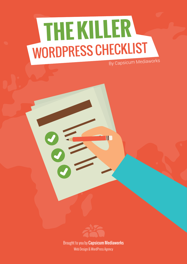## **THE KILLER**  WORDPRESS CHECKLIST By Capsicum Mediaworks



W

Brought to you by [Capsicum Mediaworks](http://capsicummediaworks.com) Web Design & WordPress Agency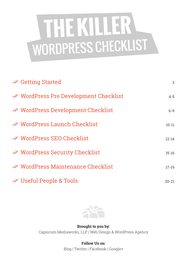# **THE KILLER**  WORDPRESS CHECKLIST

| <b>√</b> Getting Started                     | 3         |
|----------------------------------------------|-----------|
| <b>≪ WordPress Pre Development Checklist</b> | $4 - 5$   |
| <b>≪ WordPress Development Checklist</b>     | $6 - 9$   |
| <b>≪ WordPress Launch Checklist</b>          | $10 - 11$ |
| <b>₩</b> WordPress SEO Checklist             | $12 - 14$ |
| <b>≪ WordPress Security Checklist</b>        | $15 - 16$ |
| WordPress Maintenance Checklist              | $17 - 19$ |
| <b>₩ Useful People &amp; Tools</b>           | $20 - 21$ |



**Brought to you by:** Capsicum Mediaworks, LLP | Web Design & WordPress Agency

> **Follow Us on:** [Blog](http://capsicummediaworks.com/caplog/) | [Twitter](https://twitter.com/cmwdesignagency) | [Facebook |](https://facebook.com/capsicummediaworks) [Google+](https://plus.google.com/+Capsicummediaworks)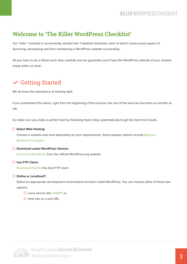## **Welcome to 'The Killer WordPress Checklist'**

Our "killer" checklist is conveniently divided into 7 detailed checklists, each of which covers every aspect of launching, developing and then maintaining a WordPress website successfully.

All you have to do is follow each step carefully and we guarantee you'll have the WordPress website of your dreams, ready within no time!

## Getting Started

We all know the importance of starting right.

If you understand the basics, right from the beginning of the process, the rest of the exercise becomes as smooth as silk.

So make sure you make a perfect start by following these steps systematically to get the best end results.

#### **Select Web Hosting:**

Choose a suitable web host depending on your requirements. Some popular options include [Bigrock](http://goo.gl/QLI7D) I [Bluehost |](http://goo.gl/Cm8Lbx) [Hostgator](http://goo.gl/d0jMBQ)

#### **Download Latest WordPress Version:**

[Download WordPress f](http://wordpress.org/download)rom the official WordPress.org website

#### **Use FTP Client:**

[Download FileZilla](https://filezilla-project.org/download.php?type=client) the best FTP client

#### **Online or Localhost?:**

 Select an appropriate development environment and then install WordPress. You can choose either of these two options;

- □ Local service like [XAMPP,](https://www.apachefriends.org/download.html) or
- $\Box$  Host site on a test URL.

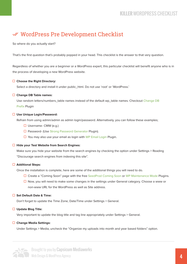## WordPress Pre Development Checklist

So where do you actually start?

That's the first question that's probably popped in your head. This checklist is the answer to that very question.

Regardless of whether you are a beginner or a WordPress expert, this particular checklist will benefit anyone who is in the process of developing a new WordPress website.

#### **Choose the Right Directory:**

Select a directory and install it under public\_html. Do not use 'root' or 'WordPress.'

#### **Change DB Table names:**

 Use random letters/numbers\_table names instead of the default wp\_table names. Checkout [Change DB](https://wordpress.org/plugins/db-prefix-change/) [Prefix P](https://wordpress.org/plugins/db-prefix-change/)lugin

#### **Use Unique Login/Password:**

Refrain from using admin/admin as admin login/password. Alternatively, you can follow these examples;

- $\Box$  Username- CMW (e.g.)
- □ Password- (Us[e Strong Password Generator P](http://strongpasswordgenerator.com/)lugin).
- $\Box$  You may also use your email as login with [WP Email Login](https://wordpress.org/plugins/wp-email-login/) Plugin.

#### **Hide your Test Website from Search Engines:**

 Make sure you hide your website from the search engines by checking the option under Settings > Reading "Discourage search engines from indexing this site".

#### **Additional Steps:**

Once the installation is complete, here are some of the additional things you will need to do.

- □ Create a "Coming Soon" page with the fre[e SeedProd Coming Soon o](https://wordpress.org/plugins/coming-soon/)r [WP Maintenance Mode](https://wordpress.org/plugins/coming-soon/) Plugins.
- $\Box$  Now, you will need to make some changes in the settings under General category. Choose a www or non-www URL for the WordPress as well as Site address.

#### **Set Default Date & Time:**

Don't forget to update the Time Zone, Date/Time under Settings > General.

#### **Update Blog Title:**

Very important to update the blog title and tag line appropriately under Settings > General.

#### **Change Media Settings:**

Under Settings > Media, uncheck the "Organize my uploads into month and year based folders" option.

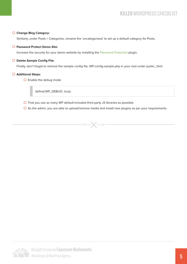#### **Change Blog Category:**

Similarly, under Posts > Categories, rename the 'uncategorized' to set up a default category for Posts.

#### **Password Protect Demo Site:**

Increase the security for your demo website by installing th[e Password Protected](https://wordpress.org/plugins/password-protected/) plugin.

#### **Delete Sample Config File:**

Finally, don't forget to remove the sample config file, WP-config-sample.php in your root under public\_html.

#### **Additional Steps:**

 $\Box$  Enable the debug mode

define('WP\_DEBUG', true);

 $\Box$  That you use as many WP default-included third-party JS libraries as possible.

 $-x$ 

 $\Box$  As the admin, you are able to upload/remove media and install new plugins as per your requirements.

 $\leftarrow \times$ 

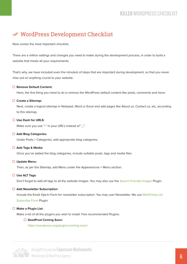## WordPress Development Checklist

Now comes the most important checklist.

There are a million settings and changes you need to make during the development process, in order to build a website that meets all your requirements.

That's why, we have included even the minutest of steps that are important during development, so that you never miss out on anything crucial to your website.

#### **Remove Default Content:**

Here, the first thing you need to do is remove the WordPress default content like posts, comments and more.

#### **Create a Sitemap:**

 Next, create a logical sitemap in Notepad, Word or Excel and add pages like About us, Contact us, etc, according to this sitemap.

#### **Use Dash for URLS:**

Make sure you use "-" in your URL's instead of "\_".

#### **Add Blog Categories:**

Under Posts > Categories, add appropriate blog categories.

#### **Add Tags & Media:**

Once you've added the blog categories, include suitable posts, tags and media files.

#### **Update Menu:**

Then, as per the Sitemap, add Menu under the Appearances > Menu section.

#### **Use ALT Tags:**

Don't forget to add alt tags to all the website images. You may also use th[e Search Friendly Images P](https://wordpress.org/plugins/seo-image/)lugin.

#### **Add Newsletter Subscription:**

 Include the Email Opt-In Form for newsletter subscription. You may user Newsletter. We us[e MailChimp List](https://wordpress.org/plugins/mailchimp/)  [Subscribe Form](https://wordpress.org/plugins/mailchimp/) Plugin.

#### **Make a Plugin List:**

Make a list of all the plugins you wish to install. Few recommended Plugins:

#### ■ SeedProd Coming Soon:

https://wordpress.org/plugins/coming-soon/

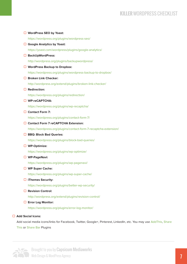| $\Box$ WordPress SEO by Yoast:                                    |
|-------------------------------------------------------------------|
| https://wordpress.org/plugins/wordpress-seo/                      |
| $\Box$ Google Analytics by Yoast:                                 |
| https://yoast.com/wordpress/plugins/google-analytics/             |
| □ BackUpWordPress:                                                |
| http://wordpress.org/plugins/backupwordpress/                     |
| $\Box$ WordPress Backup to Dropbox:                               |
| https://wordpress.org/plugins/wordpress-backup-to-dropbox/        |
| $\Box$ Broken Link Checker:                                       |
| http://wordpress.org/extend/plugins/broken-link-checker/          |
| $\Box$ Redirection:                                               |
| https://wordpress.org/plugins/redirection/                        |
| □ WP-reCAPTCHA:                                                   |
| https://wordpress.org/plugins/wp-recaptcha/                       |
| $\Box$ Contact Form 7:                                            |
| https://wordpress.org/plugins/contact-form-7/                     |
| □ Contact Form 7 reCAPTCHA Extension:                             |
| https://wordpress.org/plugins/contact-form-7-recaptcha-extension/ |
| <b>BBQ: Block Bad Queries:</b>                                    |
| https://wordpress.org/plugins/block-bad-queries/                  |
| $\Box$ WP-Optimize:                                               |
| https://wordpress.org/plugins/wp-optimize/                        |
| $\Box$ WP-PageNavi:                                               |
| https://wordpress.org/plugins/wp-pagenavi/                        |
| $\Box$ WP Super Cache:                                            |
| https://wordpress.org/plugins/wp-super-cache/                     |
| $\Box$ iThemes Security:                                          |
| https://wordpress.org/plugins/better-wp-security/                 |
| $\Box$ Revision Control:                                          |
| http://wordpress.org/extend/plugins/revision-control/             |
| $\Box$ Error Log Monitor:                                         |
| https://wordpress.org/plugins/error-log-monitor/                  |

#### **Add Social Icons:**

Add social media icons/links for Facebook, Twitter, Google+, Pinterest, LinkedIn, etc. You may use [AddThis,](https://wordpress.org/plugins/addthis/) [Share](https://wordpress.org/plugins/share-this/) [This](https://wordpress.org/plugins/share-this/) or [Share Bar P](https://wordpress.org/plugins/sharebar/)lugins

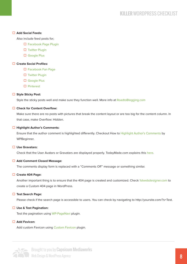#### **Add Social Feeds:**

Also include feed posts for;

- □ [Facebook Page Plugin](https://developers.facebook.com/docs/plugins/page-plugin)
- $\square$  [Twitter Plugin](https://wordpress.org/plugins/twitter/)
- □ [Google Plus](https://developers.google.com/+/web/badge/)

#### **Create Social Profiles:**

- □ [Facebook Fan Page](http://www.facebook.com/pages/create.php)
	- $\square$  [Twitter Plugin](http://twitter.com/)
- [Google Plus](http://www.google.com/+/business/)
	- $\square$  [Pinterest](https://business.pinterest.com/)

#### **Style Sticky Post:**

Style the sticky posts well and make sure they function well. More info at [RoadtoBlogging.com](http://roadtoblogging.com/create-style-sticky-post-wordpress/)

#### **Check for Content Overflow:**

 Make sure there are no posts with pictures that break the content layout or are too big for the content column. In that case, make Overflow: Hidden.

#### **Highlight Author's Comments:**

Ensure that the author comment is highlighted differently. Checkout How to [Highlight Author's Comments b](http://www.wpbeginner.com/wp-tutorials/how-to-highlight-authors-comments-in-wordpress/)y WPBeginner.

#### **Use Gravatars:**

Check that the User Avatars or Gravatars are displayed properly. TodayMade.com explains this [here.](http://todaymade.com/blog/gravatar-in-wordpress/)

#### **Add Comment Closed Message:**

The comments display form is replaced with a "Comments Off" message or something similar.

#### **Create 404 Page:**

 Another important thing is to ensure that the 404 page is created and customized. Check [1stwebdesigner.com t](http://www.1stwebdesigner.com/how-to-create-a-custom-error-404-page-for-wordpress/)o create a Custom 404 page in WordPress.

#### **Test Search Page:**

Please check if the search page is accessible to users. You can check by navigating to http://yoursite.com/?s=Test.

#### **Use & Test Pagination:**

Test the pagination using [WP-PageNavi p](https://wordpress.org/plugins/wp-pagenavi/)lugin.

#### **Add Favicon:**

Add custom Favicon using [Custom Favicon](https://wordpress.org/plugins/custom-favicon/) plugin.

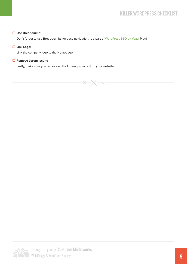#### **Use Breadcrumb:**

Don't forget to use Breadcrumbs for easy navigation. Is a part of [WordPress SEO by Yoast P](https://yoast.com/wordpress/plugins/breadcrumbs/)lugin

#### **Link Logo:**

Link the company logo to the Homepage.

#### **Remove Lorem Ipsum:**

Lastly, make sure you remove all the Lorem Ipsum text on your website.



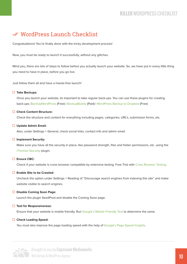## WordPress Launch Checklist

Congratulations! You're finally done with the tricky development process!

Now, you must be ready to launch it successfully, without any glitches.

Mind you, there are lots of steps to follow before you actually launch your website. So, we have put in every little thing you need to have in place, before you go live.

Just follow them all and have a hassle-free launch!

#### **Take Backups:**

 Once you launch your website, its important to take regular back-ups. You can use these plugins for creating back-ups; [BackUpWordPress \(](https://wordpress.org/plugins/backupwordpress/)Free) | [BackupBuddy \(](https://ithemes.com/purchase/backupbuddy/)Paid) | [WordPress Backup to Dropbox \(](https://wordpress.org/plugins/wordpress-backup-to-dropbox/)Free)

#### **Check Content Structure:**

Check the structure and content for everything including pages, categories, URL's, submission forms, etc.

#### **Update Admin Email:**

Also, under Settings > General, check social links, contact info and admin email.

#### **Implement Security:**

 Make sure you have all the security in place, like password strength, files and folder permissions, etc. using the [iThemes Security p](https://wordpress.org/plugins/better-wp-security/)lugin.

#### **Ensure CBC:**

Check if your website is cross browser compatible by extensive testing. Free Trial with [Cross Browser Testing.](http://crossbrowsertesting.com/)

#### **Enable Site to be Crawled:**

 Uncheck the option under Settings > Reading of "Discourage search engines from indexing this site" and make website visible to search engines.

#### **Disable Coming Soon Page:**

Launch the plugin SeedProd and disable the Coming Soon page.

#### **Test for Responsiveness:**

Ensure that your website is mobile friendly. Run [Google's Mobile Friendly Test t](https://www.google.com/webmasters/tools/mobile-friendly/)o determine the same.

#### **Check Loading Speed:**

You must also improve the page loading speed with the help of [Google's Page Speed Insights.](https://developers.google.com/speed/pagespeed/insights/)



 $\blacksquare$  Brought to you by **Capsicum Mediaworks** Web Design & WordPress Agency 2008 and the set of the Marian School and the Marian School and the Marian School and the Marian School and the Marian School and the Marian School and the Marian School and the Marian School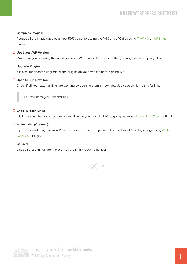#### **Compress Images:**

Reduce all the image sizes by almost 50% by compressing the PNG and JPG files usin[g TinyPNG o](https://wordpress.org/plugins/tinypng-for-wp/)r [WP Smush](https://wordpress.org/plugins/wp-smushit/) plugin.

#### **Use Latest WP Version:**

Make sure you are using the latest version of WordPress. If not, ensure that you upgrade when you go live.

#### **Upgrade Plugins:**

It is also important to upgrade all the plugins on your website before going live.

#### **Open URL in New Tab:**

Check if all your external links are working by opening them in new tabs. Use code similar to this for links

<a href="#" target="\_blank"></a>

#### **Check Broken Links:**

It is imperative that you check for broken links on your website before going live usin[g Broken Link Checker](https://wordpress.org/plugins/broken-link-checker/) Plugin

#### **White Label (Optional):**

 If you are developing the WordPress website for a client, implement branded WordPress login page using [White](https://wordpress.org/plugins/white-label-cms/)  [Label CMS P](https://wordpress.org/plugins/white-label-cms/)lugin

#### **Go Live:**

Once all these things are in place, you are finally ready to go live!



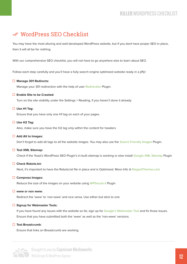## WordPress SEO Checklist

You may have the most alluring and well-developed WordPress website, but if you dont have proper SEO in place, then it will all be for nothing.

With our comprehensive SEO checklist, you will not have to go anywhere else to learn about SEO.

Follow each step carefully and you'll have a fully search engine optimized website ready in a jiffy!

#### **Manage 301 Redirects:**

Manage your 301 redirection with the help of user [Redirection P](https://wordpress.org/plugins/redirection/)lugin.

#### **Enable Site to be Crawled:**

Turn on the site visibility under the Settings > Reading, if you haven't done it already.

#### **Use H1 Tag:**

Ensure that you have only one H1 tag on each of your pages.

#### **Use H2 Tag:**

Also, make sure you have the H2 tag only within the content for headers

#### **Add Alt to Images:**

Don't forget to add alt tags to all the website images. You may also use th[e Search Friendly Images](https://wordpress.org/plugins/seo-image/) Plugin.

#### **Test XML Sitemap:**

Check if the Yoast's WordPress SEO Plugin's in-built sitemap is working or else install [Google XML Sitemap P](https://wordpress.org/plugins/google-sitemap-generator/)lugin

#### **Check Robots.txt:**

Next, it's important to have the Robots.txt file in place and is Optimized. More Info [@ ElegantThemes.com](https://www.elegantthemes.com/blog/tips-tricks/how-to-create-and-configure-your-robots-txt-file)

#### **Compress Images:**

Reduce the size of the images on your website using [WPSmush.it P](https://wordpress.org/plugins/wp-smushit/)lugin

#### **www or non www:**

Redirect the 'www' to 'non-www' and vice versa. Use either but stick to one

#### **Signup for Webmaster Tools:**

If you have found any issues with the website so far, sign up fo[r Google's Webmaster Tool a](http://www.google.com/webmasters/)nd fix those issues. Ensure that you have submitted both the 'www' as well as the 'non-www' versions.

#### **Test Breadcrumb:**

Ensure that links on Breadcrumb are working.



**Brought to you by Capsicum Mediaworks** Web Design & WordPress Agency 12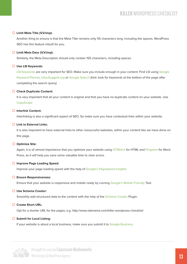#### **Limit Meta Title (V.V.Imp):**

 Another thing to ensure is that the Meta Title remains only 55 characters long, including the spaces. WordPress SEO has this feature inbuilt for you.

#### **Limit Meta Desc (V.V.Imp):**

Similarly, the Meta Description should only contain 155 characters, including spaces.

#### **Use LSI Keywords:**

 [LSI Keywords](http://www.shoutmeloud.com/use-synonyms-for-ranking-higher-in-search-results.html) are very important for SEO. Make sure you include enough in your content. Find LSI using [Google](https://adwords.google.com/KeywordPlanner)  [Keyword Planner,](https://adwords.google.com/KeywordPlanner) [UberSuggest.org](http://ubersuggest.org/) or [Google Search](https://www.google.com/) (hint: look for keywords at the bottom of the page after completing the search query)

#### **Check Duplicate Content:**

It is very important that all your content is original and that you have no duplicate content on your website. Use **[CopyScape](http://www.copyscape.com/)** 

#### **Interlink Content:**

Interlinking is also a significant aspect of SEO. So make sure you have contextual links within your website.

#### **Link to External Links:**

It is also important to have external links to other resourceful websites, within your content like we have done on this page.

#### **Optimize Site:**

 Again, it is of utmost importance that you optimize your website using [GTMetrix f](http://gtmetrix.com/)or HTML and [Pingdom](http://tools.pingdom.com/fpt/) for Word Press, as it will help you save some valuable time to clear errors.

#### **Improve Page Loading Speed:**

Improve your page loading speed with the help of [Google's PageSpeed Insights.](https://developers.google.com/speed/pagespeed/insights/)

#### **Ensure Responsiveness:**

Ensure that your website is responsive and mobile ready by running [Google's Mobile Friendly T](https://www.google.com/webmasters/tools/mobile-friendly/)est.

#### **Use Schema Creator:**

Smoothly add structured data to the content with the help of th[e Schema Creator P](https://wordpress.org/plugins/schema-creator/)lugin.

#### **Create Short URL:**

Opt for a shorter URL for the pages, e.g. http://www.sitename.com/killer-wordpress-checklist/

#### **Submit for Local Listing:**

If your website is about a local business, make sure you submit it to [Google Business.](https://www.google.com/business/)



 $\blacksquare$  Brought to you by **Capsicum Mediaworks** Web Design & WordPress Agency 13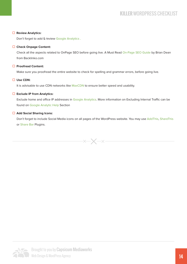#### **Review Analytics:**

Don't forget to add & review [Google Analytics](http://www.google.com/analytics/) .

#### **Check Onpage Content:**

 Check all the aspects related to OnPage SEO before going live. A Must Read [On-Page SEO Guide](http://backlinko.com/on-page-seo) by Brian Dean from Backlinko.com

#### **Proofread Content:**

Make sure you proofread the entire website to check for spelling and grammar errors, before going live.

#### **Use CDN:**

It is advisable to use CDN networks like [MaxCDN](https://www.maxcdn.com/) to ensure better speed and usability.

#### **Exclude IP from Analytics:**

Exclude home and office IP addresses in [Google Analytics.](http://www.google.com/analytics/) More information on Excluding Internal Traffic can be found on [Google Analytic Help](https://support.google.com/analytics/answer/1034823) Section

#### **Add Social Sharing Icons:**

 Don't forget to include Social Media icons on all pages of the WordPress website. You may use [AddThis,](https://wordpress.org/plugins/addthis/) [ShareThis](https://wordpress.org/plugins/share-this/) o[r Share Bar P](https://wordpress.org/plugins/sharebar/)lugins.

 $\times$   $-$ 

 $-\times -$ 

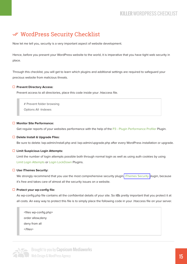## WordPress Security Checklist

Now let me tell you, security is a very important aspect of website development.

Hence, before you present your WordPress website to the world, it is imperative that you have tight web security in place.

Through this checklist, you will get to learn which plugins and additional settings are required to safeguard your precious website from malicious threats.

#### **Prevent Directory Access:**

Prevent access to all directories, place this code inside your .htaccess file.

# Prevent folder browsing

Options All -Indexes

#### **Monitor Site Performance:**

Get regular reports of your websites performance with the help of the [P3 - Plugin Performance Profiler](https://wordpress.org/plugins/p3-profiler/) Plugin.

#### **Delete Install & Upgrade Files:**

Be sure to delete /wp-admin/install.php and /wp-admin/upgrade.php after every WordPress installation or upgrade.

#### **Limit Suspicious Login Attempts:**

 Limit the number of login attempts possible both through normal login as well as using auth cookies by using [Limit Login Attempts o](http://wordpress.org/extend/plugins/limit-login-attempts/)r [Login LockDown P](https://wordpress.org/plugins/login-lockdown/)lugins.

#### **Use iThemes Security:**

We strongly recommend that you use the most comprehensive security plugin[, iThemes Security p](https://wordpress.org/plugins/better-wp-security/)lugin, because it's free and takes care of almost all the security issues on a website.

#### **Protect your wp-config file:**

 As wp-config.php file contains all the confidential details of your site. So it s pretty important that you protect it at all costs. An easy way to protect this file is to simply place the following code in your .htaccess file on your server.

 <files wp-config.php> order allow,deny deny from all  $\langle$ files>



 $\blacksquare$  Brought to you by **Capsicum Mediaworks** Web Design & WordPress Agency 15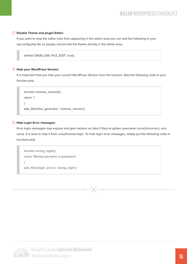#### **Disable Theme and plugin Editor:**

 If you want to stop the editor links from appearing in the admin area you can add the following to your wp-config.php file so people cannot edit the theme directly in the admin area.

define( 'DISALLOW\_FILE\_EDIT', true);

#### **Hide your WordPress Version:**

 It is important that you hide your current WordPress Version from the hackers. Add the following code to your function.php

```
 function remove_version() {
return '';
}
add_filter('the_generator', 'remove_version');
```
#### **Hide Login Error messages:**

 Error login messages may expose and give hackers an idea if they've gotten username correct/incorrect, vice versa. It is wise to hide it from unauthorized login. To hide login error messages, simply put the following code in functions.php

```
 function wrong_login() {
return 'Wrong username or password.';
}
add_filter('login_errors', 'wrong_login');
```


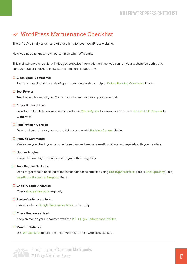## WordPress Maintenance Checklist

There! You've finally taken care of everything for your WordPress website.

Now, you need to know how you can maintain it efficiently.

This maintainance checklist will give you stepwise information on how you can run your website smoothly and conduct regular checks to make sure it functions impeccably.

#### **Clean Spam Comments:**

Tackle an attack of thousands of spam comments with the help of [Delete Pending Comments P](https://wordpress.org/plugins/delete-pending-comments/)lugin.

#### **Test Forms:**

Test the functioning of your Contact form by sending an inquiry through it.

#### **Check Broken Links:**

 Look for broken links on your website with the [CheckMyLink E](https://chrome.google.com/webstore/detail/check-my-links/ojkcdipcgfaekbeaelaapakgnjflfglf?hl=en-GB)xtension for Chrome & [Broken Link Checker f](https://wordpress.org/plugins/broken-link-checker/)or WordPress.

#### **Post Revision Control:**

Gain total control over your post revision system with [Revision Control p](https://wordpress.org/plugins/revision-control/)lugin.

#### **Reply to Comments:**

Make sure you check your comments section and answer questions & interact regularly with your readers.

#### **Update Plugins:**

Keep a tab on plugin updates and upgrade them regularly.

#### **Take Regular Backups:**

Don't forget to take backups of the latest databases and files using [BackUpWordPress \(](https://wordpress.org/plugins/backupwordpress/)Free) | [BackupBuddy](https://ithemes.com/purchase/backupbuddy/) (Paid) [WordPress Backup to Dropbox \(F](https://wordpress.org/plugins/wordpress-backup-to-dropbox/)ree).

#### **Check Google Analytics:**

Chec[k Google Analytics r](http://www.google.com/analytics/)egularly.

#### **Review Webmaster Tools:**

Similarly, chec[k Google Webmaster Tools p](https://www.google.com/webmasters/tools/)eriodically.

#### **Check Resources Used:**

Keep an eye on your resources with the [P3 - Plugin Performance Profiler.](https://wordpress.org/plugins/p3-profiler/)

#### **Monitor Statistics:**

Use [WP Statistics p](https://wordpress.org/plugins/wp-statistics/)lugin to monitor your WordPress website's statistics.



**Brought to you by Capsicum Mediaworks** Phone Section & WordPress Agency 17 and 2014 the Section Annual Section 17 and 2014 17 and 2014 17 and 2014 17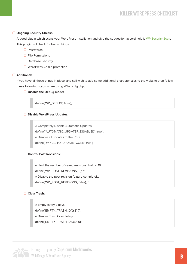#### **Ongoing Security Checks:**

 A good plugin which scans your WordPress installation and give the suggestion accordingly i[s WP Security Scan.](https://wordpress.org/plugins/wp-security-scan/)  This plugin will check for below things:

- $\square$  Passwords
- $\square$  File Permissions
- $\Box$  Database Security
- $\Box$  WordPress Admin protection

#### **Additional:**

 If you have all these things in place, and still wish to add some additional characteristics to the website then follow these following steps, when using WP-config.php;

□ **Disable the Debug mode:** 

define('WP\_DEBUG', false);

#### � **Disable WordPress Updates:**

 // Completely Disable Automatic Updates define( 'AUTOMATIC\_UPDATER\_DISABLED', true ); // Disable all updates to the Core define( 'WP\_AUTO\_UPDATE\_CORE', true )

#### **□ Control Post Revisions:**

 // Limit the number of saved revisions. limit to 10. define('WP\_POST\_REVISIONS', 3); // // Disable the post-revision feature completely. define('WP\_POST\_REVISIONS', false); //

#### � **Clear Trash:**

 // Empty every 7 days define('EMPTY\_TRASH\_DAYS', 7); // Disable Trash Completely define('EMPTY\_TRASH\_DAYS', 0);



 $\blacksquare$  Brought to you by **Capsicum Mediaworks** Web Design & WordPress Agency 2008 and the set of the set of the set of the set of the set of the set of the set of the set of the set of the set of the set of the set of the set of the set of the set of the set of the set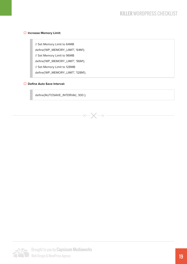#### � **Increase Memory Limit:**

 // Set Memory Limit to 64MB define('WP\_MEMORY\_LIMIT', '64M'); // Set Memory Limit to 96MB define('WP\_MEMORY\_LIMIT', '96M'); // Set Memory Limit to 128MB define('WP\_MEMORY\_LIMIT', '128M');

#### ■ **Define Auto Save Interval:**

define('AUTOSAVE\_INTERVAL', 300 );

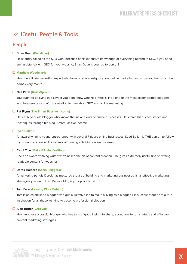## Useful People & Tools

## People

#### **Brian Dea[n \(Backlinko\):](http://backlinko.com/)**

 He's fondly called as the SEO Guru because of his extensive knowledge of everything related to SEO. If you need any assistance with SEO for your website, Brian Dean is your go-to person!

#### **[Matthew Woodward:](http://matthewwoodward.co.uk/)**

He's the affiliate marketing expert who loves to share insights about online marketing and show you how much he earns every month.

#### **Neil Patel [\(QuickSprout\):](http://quicksprout.com/)**

 You ought to be living in a cave if you dont know who Neil Patel is! He's one of the most accomplished bloggers who has very resourceful information to give about SEO and online marketing.

#### **Pat Flyn[n \(The Smart Passive Income\):](http://smartpassiveincome.com/)**

 He's a 32 year old blogger who knows the ins and outs of online businesses. He shares his succes stories and techniques through his blog- Smart Passive Income.

#### **[Syed Balkhi:](https://syedbalkhi.com/)**

 An award winning young entrepreneur with several 7-figure online businesses, Syed Balkhi is THE person to follow if you want to know all the secrets of running a thriving online business.

#### **Carol Tice [\(Make A Living Writing\):](http://www.makealivingwriting.com/)**

 She's an award winning writer who's nailed the art of content creation. She gives extremely useful tips on writing readable content for websites.

#### **Derek Halper[n \(Social Triggers\):](http://socialtriggers.com/)**

A marketing pundit, Derek has mastered the art of building and marketing businesses. If it's effective marketing strategies you want, then Derek's blog is your place to be.

#### **Tom Ewe[r \(Leaving Work Behind\):](http://www.leavingworkbehind.com/)**

 Tom is an established blogger who quit a lucrative job to make a living as a blogger. His success stories are a true inspiration for all those wanting to become professional bloggers.

#### **Alex Turner [\(Groove\):](https://www.groovehq.com/blog)**

He's another successful blogger who has tons of good insight to share, about how to run startups and effective content marketing strategies.

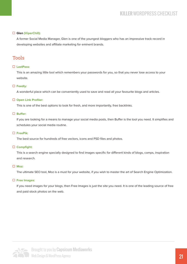#### **Glen [\(ViperChill\):](http://www.viperchill.com/)**

 A former Social Media Manager, Glen is one of the youngest bloggers who has an impressive track record in developing websites and affiliate marketing for eminent brands.

### Tools

#### **[LastPass:](https://lastpass.com/)**

 This is an amazing little tool which remembers your passwords for you, so that you never lose access to your website.

#### **[Feedly:](http://feedly.com/)**

A wonderful place which can be conveniently used to save and read all your favourite blogs and articles.

#### **[Open Link Profiler:](http://openlinkprofiler.org/)**

This is one of the best options to look for fresh, and more importantly, free backlinks.

#### □ Buffer:

If you are looking for a means to manage your social media posts, then Buffer is the tool you need. It simplifies and schedules your social media routine.

#### **[FreePik:](http://www.freepik.com/)**

The best source for hundreds of free vectors, icons and PSD files and photos.

#### **[Compfight:](http://compfight.com/)**

This is a search engine specially designed to find images specific for different kinds of blogs, comps, inspiration and research.

#### **[Moz:](https://moz.com/researchtools/ose/)**

The ultimate SEO tool, Moz is a must for your website, if you wish to master the art of Search Engine Optimization.

#### **[Free Images:](http://www.freeimages.com/)**

 If you need images for your blogs, then Free Images is just the site you need. It is one of the leading source of free and paid stock photos on the web.